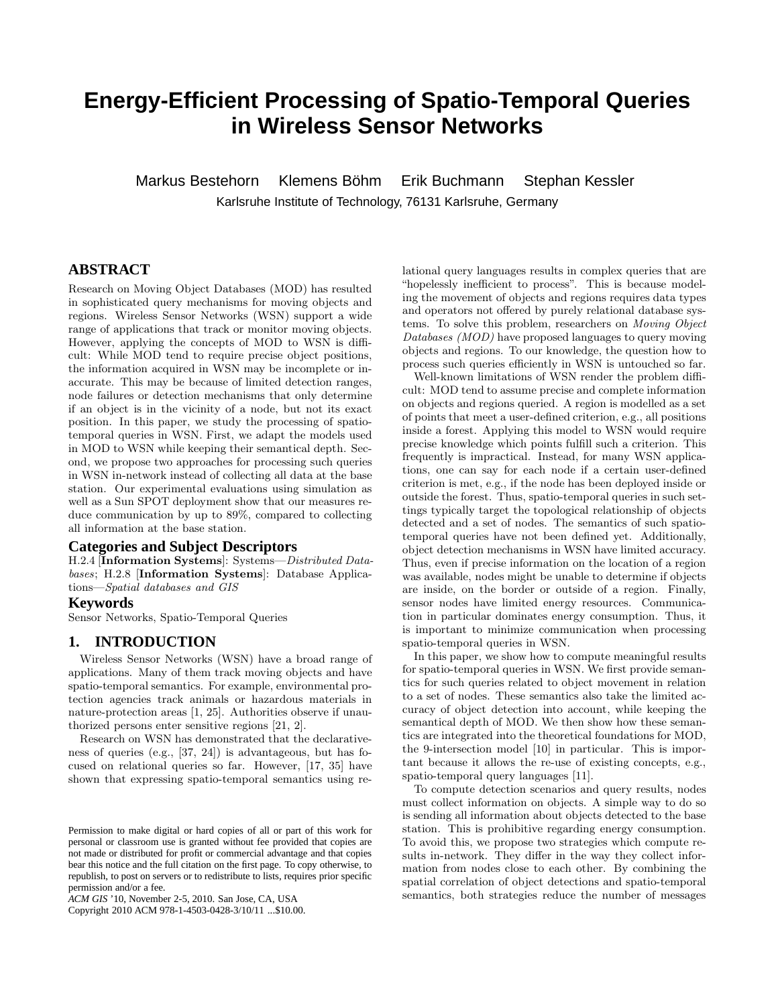# **Energy-Efficient Processing of Spatio-Temporal Queries in Wireless Sensor Networks**

Markus Bestehorn Klemens Böhm Erik Buchmann Stephan Kessler

Karlsruhe Institute of Technology, 76131 Karlsruhe, Germany

# **ABSTRACT**

Research on Moving Object Databases (MOD) has resulted in sophisticated query mechanisms for moving objects and regions. Wireless Sensor Networks (WSN) support a wide range of applications that track or monitor moving objects. However, applying the concepts of MOD to WSN is difficult: While MOD tend to require precise object positions, the information acquired in WSN may be incomplete or inaccurate. This may be because of limited detection ranges, node failures or detection mechanisms that only determine if an object is in the vicinity of a node, but not its exact position. In this paper, we study the processing of spatiotemporal queries in WSN. First, we adapt the models used in MOD to WSN while keeping their semantical depth. Second, we propose two approaches for processing such queries in WSN in-network instead of collecting all data at the base station. Our experimental evaluations using simulation as well as a Sun SPOT deployment show that our measures reduce communication by up to 89%, compared to collecting all information at the base station.

### **Categories and Subject Descriptors**

H.2.4 [Information Systems]: Systems—*Distributed Databases*; H.2.8 [Information Systems]: Database Applications—*Spatial databases and GIS*

#### **Keywords**

Sensor Networks, Spatio-Temporal Queries

# **1. INTRODUCTION**

Wireless Sensor Networks (WSN) have a broad range of applications. Many of them track moving objects and have spatio-temporal semantics. For example, environmental protection agencies track animals or hazardous materials in nature-protection areas [1, 25]. Authorities observe if unauthorized persons enter sensitive regions [21, 2].

Research on WSN has demonstrated that the declarativeness of queries (e.g., [37, 24]) is advantageous, but has focused on relational queries so far. However, [17, 35] have shown that expressing spatio-temporal semantics using re-

Copyright 2010 ACM 978-1-4503-0428-3/10/11 ...\$10.00.

lational query languages results in complex queries that are "hopelessly inefficient to process". This is because modeling the movement of objects and regions requires data types and operators not offered by purely relational database systems. To solve this problem, researchers on *Moving Object Databases (MOD)* have proposed languages to query moving objects and regions. To our knowledge, the question how to process such queries efficiently in WSN is untouched so far.

Well-known limitations of WSN render the problem difficult: MOD tend to assume precise and complete information on objects and regions queried. A region is modelled as a set of points that meet a user-defined criterion, e.g., all positions inside a forest. Applying this model to WSN would require precise knowledge which points fulfill such a criterion. This frequently is impractical. Instead, for many WSN applications, one can say for each node if a certain user-defined criterion is met, e.g., if the node has been deployed inside or outside the forest. Thus, spatio-temporal queries in such settings typically target the topological relationship of objects detected and a set of nodes. The semantics of such spatiotemporal queries have not been defined yet. Additionally, object detection mechanisms in WSN have limited accuracy. Thus, even if precise information on the location of a region was available, nodes might be unable to determine if objects are inside, on the border or outside of a region. Finally, sensor nodes have limited energy resources. Communication in particular dominates energy consumption. Thus, it is important to minimize communication when processing spatio-temporal queries in WSN.

In this paper, we show how to compute meaningful results for spatio-temporal queries in WSN. We first provide semantics for such queries related to object movement in relation to a set of nodes. These semantics also take the limited accuracy of object detection into account, while keeping the semantical depth of MOD. We then show how these semantics are integrated into the theoretical foundations for MOD, the 9-intersection model [10] in particular. This is important because it allows the re-use of existing concepts, e.g., spatio-temporal query languages [11].

To compute detection scenarios and query results, nodes must collect information on objects. A simple way to do so is sending all information about objects detected to the base station. This is prohibitive regarding energy consumption. To avoid this, we propose two strategies which compute results in-network. They differ in the way they collect information from nodes close to each other. By combining the spatial correlation of object detections and spatio-temporal semantics, both strategies reduce the number of messages

Permission to make digital or hard copies of all or part of this work for personal or classroom use is granted without fee provided that copies are not made or distributed for profit or commercial advantage and that copies bear this notice and the full citation on the first page. To copy otherwise, to republish, to post on servers or to redistribute to lists, requires prior specific permission and/or a fee.

*ACM GIS* '10, November 2-5, 2010. San Jose, CA, USA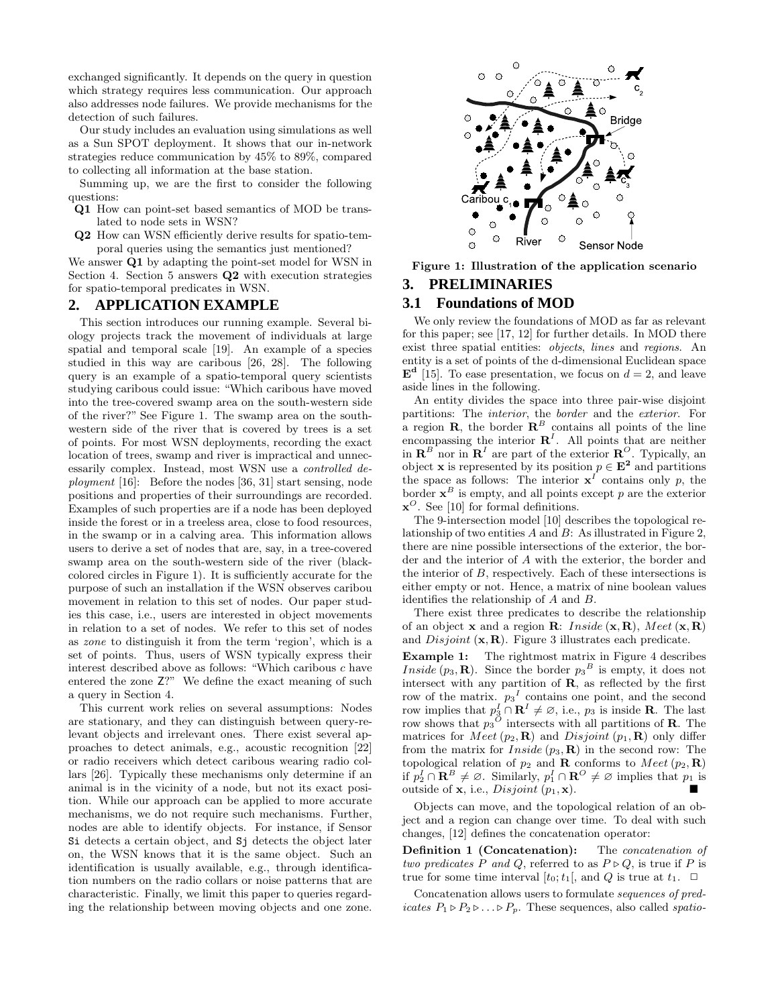exchanged significantly. It depends on the query in question which strategy requires less communication. Our approach also addresses node failures. We provide mechanisms for the detection of such failures.

Our study includes an evaluation using simulations as well as a Sun SPOT deployment. It shows that our in-network strategies reduce communication by 45% to 89%, compared to collecting all information at the base station.

Summing up, we are the first to consider the following questions:

- Q1 How can point-set based semantics of MOD be translated to node sets in WSN?
- Q2 How can WSN efficiently derive results for spatio-temporal queries using the semantics just mentioned?

We answer **Q1** by adapting the point-set model for WSN in Section 4. Section 5 answers Q2 with execution strategies for spatio-temporal predicates in WSN.

### **2. APPLICATION EXAMPLE**

This section introduces our running example. Several biology projects track the movement of individuals at large spatial and temporal scale [19]. An example of a species studied in this way are caribous [26, 28]. The following query is an example of a spatio-temporal query scientists studying caribous could issue: "Which caribous have moved into the tree-covered swamp area on the south-western side of the river?" See Figure 1. The swamp area on the southwestern side of the river that is covered by trees is a set of points. For most WSN deployments, recording the exact location of trees, swamp and river is impractical and unnecessarily complex. Instead, most WSN use a *controlled deployment* [16]: Before the nodes [36, 31] start sensing, node positions and properties of their surroundings are recorded. Examples of such properties are if a node has been deployed inside the forest or in a treeless area, close to food resources, in the swamp or in a calving area. This information allows users to derive a set of nodes that are, say, in a tree-covered swamp area on the south-western side of the river (blackcolored circles in Figure 1). It is sufficiently accurate for the purpose of such an installation if the WSN observes caribou movement in relation to this set of nodes. Our paper studies this case, i.e., users are interested in object movements in relation to a set of nodes. We refer to this set of nodes as *zone* to distinguish it from the term 'region', which is a set of points. Thus, users of WSN typically express their interest described above as follows: "Which caribous c have entered the zone Z?" We define the exact meaning of such a query in Section 4.

This current work relies on several assumptions: Nodes are stationary, and they can distinguish between query-relevant objects and irrelevant ones. There exist several approaches to detect animals, e.g., acoustic recognition [22] or radio receivers which detect caribous wearing radio collars [26]. Typically these mechanisms only determine if an animal is in the vicinity of a node, but not its exact position. While our approach can be applied to more accurate mechanisms, we do not require such mechanisms. Further, nodes are able to identify objects. For instance, if Sensor Si detects a certain object, and Sj detects the object later on, the WSN knows that it is the same object. Such an identification is usually available, e.g., through identification numbers on the radio collars or noise patterns that are characteristic. Finally, we limit this paper to queries regarding the relationship between moving objects and one zone.



Figure 1: Illustration of the application scenario

### **3. PRELIMINARIES**

### **3.1 Foundations of MOD**

We only review the foundations of MOD as far as relevant for this paper; see [17, 12] for further details. In MOD there exist three spatial entities: *objects*, *lines* and *regions*. An entity is a set of points of the d-dimensional Euclidean space  $\mathbf{E}^{\mathbf{d}}$  [15]. To ease presentation, we focus on  $d=2$ , and leave aside lines in the following.

An entity divides the space into three pair-wise disjoint partitions: The *interior*, the *border* and the *exterior*. For a region **R**, the border  $\mathbf{R}^B$  contains all points of the line encompassing the interior  $\mathbb{R}^{I}$ . All points that are neither in  $\mathbf{R}^B$  nor in  $\mathbf{R}^I$  are part of the exterior  $\mathbf{R}^O$ . Typically, an object **x** is represented by its position  $p \in \mathbf{E}^2$  and partitions the space as follows: The interior  $x^I$  contains only p, the border  $\mathbf{x}^B$  is empty, and all points except p are the exterior  $\mathbf{x}^{\mathcal{O}}$ . See [10] for formal definitions.

The 9-intersection model [10] describes the topological relationship of two entities  $A$  and  $B$ : As illustrated in Figure 2. there are nine possible intersections of the exterior, the border and the interior of A with the exterior, the border and the interior of B, respectively. Each of these intersections is either empty or not. Hence, a matrix of nine boolean values identifies the relationship of A and B.

There exist three predicates to describe the relationship of an object **x** and a region **R**: *Inside*  $(\mathbf{x}, \mathbf{R})$ , *Meet*  $(\mathbf{x}, \mathbf{R})$ and  $Disjoint (\mathbf{x}, \mathbf{R})$ . Figure 3 illustrates each predicate.

Example 1: The rightmost matrix in Figure 4 describes *Inside*  $(p_3, \mathbf{R})$ . Since the border  $p_3^B$  is empty, it does not intersect with any partition of  $\bf{R}$ , as reflected by the first row of the matrix.  $p_3{}^I$  contains one point, and the second row implies that  $p_3^I \cap \mathbf{R}^I \neq \emptyset$ , i.e.,  $p_3$  is inside **R**. The last row shows that  $p_3^O$  intersects with all partitions of **R**. The matrices for *Meet*  $(p_2, \mathbf{R})$  and *Disjoint*  $(p_1, \mathbf{R})$  only differ from the matrix for  $Inside (p_3, R)$  in the second row: The topological relation of  $p_2$  and **R** conforms to Meet  $(p_2, \mathbf{R})$ if  $p_2^I \cap \mathbf{R}^B \neq \emptyset$ . Similarly,  $p_1^I \cap \mathbf{R}^O \neq \emptyset$  implies that  $p_1$  is outside of  $x$ , i.e., *Disjoint*  $(p_1, x)$ .

Objects can move, and the topological relation of an object and a region can change over time. To deal with such changes, [12] defines the concatenation operator:

Definition 1 (Concatenation): The *concatenation of two predicates* P *and* Q, referred to as  $P \triangleright Q$ , is true if P is true for some time interval  $[t_0;t_1]$ , and  $Q$  is true at  $t_1$ .  $\Box$ 

Concatenation allows users to formulate *sequences of predicates*  $P_1 \triangleright P_2 \triangleright \ldots \triangleright P_p$ . These sequences, also called *spatio-*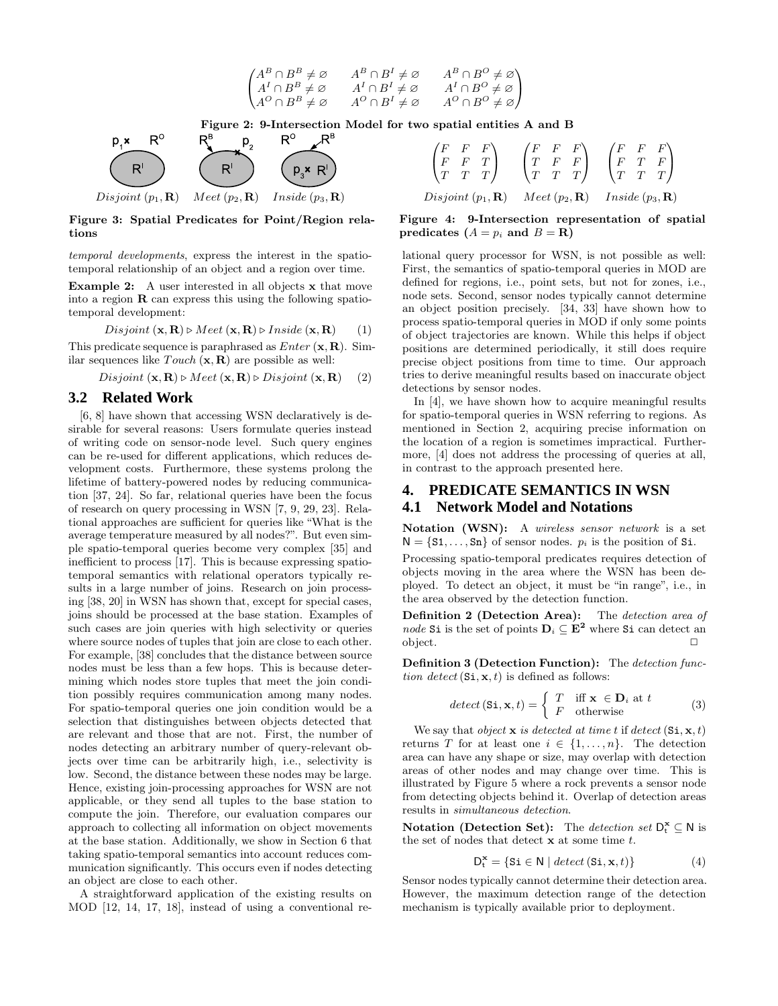



Figure 3: Spatial Predicates for Point/Region relations

*temporal developments*, express the interest in the spatiotemporal relationship of an object and a region over time.

Example 2: A user interested in all objects x that move into a region  $\bf{R}$  can express this using the following spatiotemporal development:

$$
Disjoint (\mathbf{x}, \mathbf{R}) \triangleright Meet (\mathbf{x}, \mathbf{R}) \triangleright Inside (\mathbf{x}, \mathbf{R}) \qquad (1)
$$

This predicate sequence is paraphrased as  $Enter (\mathbf{x}, \mathbf{R})$ . Similar sequences like  $Touch(\mathbf{x}, \mathbf{R})$  are possible as well:

 $Disjoint (\mathbf{x}, \mathbf{R}) \triangleright Meet (\mathbf{x}, \mathbf{R}) \triangleright Disjoint (\mathbf{x}, \mathbf{R})$  (2)

### **3.2 Related Work**

[6, 8] have shown that accessing WSN declaratively is desirable for several reasons: Users formulate queries instead of writing code on sensor-node level. Such query engines can be re-used for different applications, which reduces development costs. Furthermore, these systems prolong the lifetime of battery-powered nodes by reducing communication [37, 24]. So far, relational queries have been the focus of research on query processing in WSN [7, 9, 29, 23]. Relational approaches are sufficient for queries like "What is the average temperature measured by all nodes?". But even simple spatio-temporal queries become very complex [35] and inefficient to process [17]. This is because expressing spatiotemporal semantics with relational operators typically results in a large number of joins. Research on join processing [38, 20] in WSN has shown that, except for special cases, joins should be processed at the base station. Examples of such cases are join queries with high selectivity or queries where source nodes of tuples that join are close to each other. For example, [38] concludes that the distance between source nodes must be less than a few hops. This is because determining which nodes store tuples that meet the join condition possibly requires communication among many nodes. For spatio-temporal queries one join condition would be a selection that distinguishes between objects detected that are relevant and those that are not. First, the number of nodes detecting an arbitrary number of query-relevant objects over time can be arbitrarily high, i.e., selectivity is low. Second, the distance between these nodes may be large. Hence, existing join-processing approaches for WSN are not applicable, or they send all tuples to the base station to compute the join. Therefore, our evaluation compares our approach to collecting all information on object movements at the base station. Additionally, we show in Section 6 that taking spatio-temporal semantics into account reduces communication significantly. This occurs even if nodes detecting an object are close to each other.

A straightforward application of the existing results on MOD [12, 14, 17, 18], instead of using a conventional re-

$$
\begin{pmatrix}\nF & F & F \\
F & F & T \\
T & T & T\n\end{pmatrix}\n\qquad\n\begin{pmatrix}\nF & F & F \\
T & F & F \\
T & T & T\n\end{pmatrix}\n\qquad\n\begin{pmatrix}\nF & F & F \\
F & T & F \\
T & T & T\n\end{pmatrix}
$$
\nDisjoint (p<sub>1</sub>, **R**) *Meet* (p<sub>2</sub>, **R**) *Inside* (p<sub>3</sub>, **R**)

Figure 4: 9-Intersection representation of spatial predicates  $(A = p_i \text{ and } B = \mathbf{R})$ 

lational query processor for WSN, is not possible as well: First, the semantics of spatio-temporal queries in MOD are defined for regions, i.e., point sets, but not for zones, i.e., node sets. Second, sensor nodes typically cannot determine an object position precisely. [34, 33] have shown how to process spatio-temporal queries in MOD if only some points of object trajectories are known. While this helps if object positions are determined periodically, it still does require precise object positions from time to time. Our approach tries to derive meaningful results based on inaccurate object detections by sensor nodes.

In [4], we have shown how to acquire meaningful results for spatio-temporal queries in WSN referring to regions. As mentioned in Section 2, acquiring precise information on the location of a region is sometimes impractical. Furthermore, [4] does not address the processing of queries at all, in contrast to the approach presented here.

# **4. PREDICATE SEMANTICS IN WSN 4.1 Network Model and Notations**

Notation (WSN): A *wireless sensor network* is a set  $N = \{S1, \ldots, Sn\}$  of sensor nodes.  $p_i$  is the position of Si.

Processing spatio-temporal predicates requires detection of objects moving in the area where the WSN has been deployed. To detect an object, it must be "in range", i.e., in the area observed by the detection function.

Definition 2 (Detection Area): The *detection area of node* Si is the set of points  $D_i \subseteq E^2$  where Si can detect an  $\Box$ object.  $\Box$ 

Definition 3 (Detection Function): The *detection function detect*  $(Si, x, t)$  is defined as follows:

$$
detect\left(\mathbf{Si}, \mathbf{x}, t\right) = \begin{cases} T & \text{iff } \mathbf{x} \in \mathbf{D}_i \text{ at } t \\ F & \text{otherwise} \end{cases}
$$
 (3)

We say that *object*  $x$  *is detected at time t* if *detect* ( $Si, x, t$ ) returns T for at least one  $i \in \{1, \ldots, n\}$ . The detection area can have any shape or size, may overlap with detection areas of other nodes and may change over time. This is illustrated by Figure 5 where a rock prevents a sensor node from detecting objects behind it. Overlap of detection areas results in *simultaneous detection*.

Notation (Detection Set): The *detection set*  $D_t^{\mathbf{x}} \subseteq \mathbb{N}$  is the set of nodes that detect  $x$  at some time  $t$ .

$$
D_t^{\mathbf{x}} = \{ \text{Si} \in \mathsf{N} \mid \text{detect} \left( \text{Si}, \mathbf{x}, t \right) \} \tag{4}
$$

Sensor nodes typically cannot determine their detection area. However, the maximum detection range of the detection mechanism is typically available prior to deployment.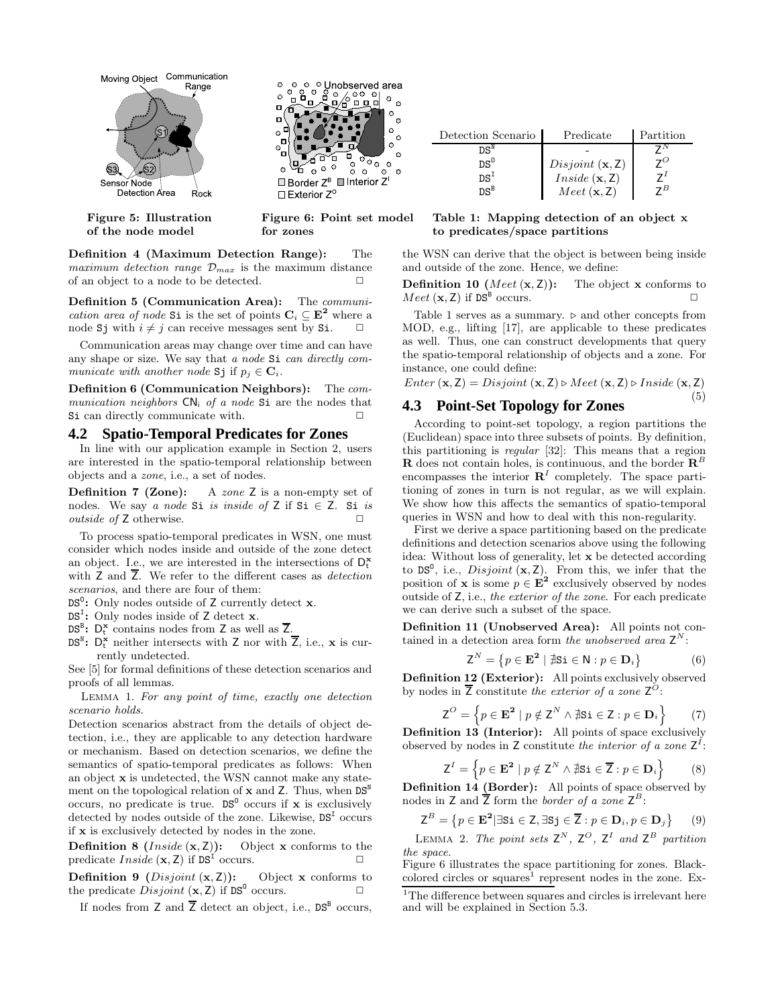

Definition 4 (Maximum Detection Range): The *maximum detection range*  $\mathcal{D}_{max}$  is the maximum distance of an object to a node to be detected.

Definition 5 (Communication Area): The *communication area of node* Si is the set of points  $C_i \subseteq E^2$  where a node Sj with  $i \neq j$  can receive messages sent by Si.

Communication areas may change over time and can have any shape or size. We say that *a node* Si *can directly communicate with another node* Sj if  $p_i \in \mathbf{C}_i$ .

Definition 6 (Communication Neighbors): The *communication neighbors*  $CN_i$  *of a node* Si are the nodes that Si can directly communicate with.

### **4.2 Spatio-Temporal Predicates for Zones**

In line with our application example in Section 2, users are interested in the spatio-temporal relationship between objects and a *zone*, i.e., a set of nodes.

Definition 7 (Zone): A *zone* Z is a non-empty set of nodes. We say *a node* Si *is inside of* Z if Si  $\in$  Z. Si *is outside of* **Z** otherwise. □

To process spatio-temporal predicates in WSN, one must consider which nodes inside and outside of the zone detect an object. I.e., we are interested in the intersections of  $D_t^{\mathbf{x}}$ with Z and Z. We refer to the different cases as *detection scenarios*, and there are four of them:

 $DS^0$ : Only nodes outside of Z currently detect x.

 $DS<sup>I</sup>$ : Only nodes inside of Z detect x.

 $DS^B$ :  $D_t^{\mathbf{x}}$  contains nodes from Z as well as  $\overline{Z}$ .

 $DS^N$ :  $D_t^{\dot{x}}$  neither intersects with  $\overline{Z}$  nor with  $\overline{Z}$ , i.e.,  $\dot{x}$  is currently undetected.

See [5] for formal definitions of these detection scenarios and proofs of all lemmas.

Lemma 1. *For any point of time, exactly one detection scenario holds.*

Detection scenarios abstract from the details of object detection, i.e., they are applicable to any detection hardware or mechanism. Based on detection scenarios, we define the semantics of spatio-temporal predicates as follows: When an object x is undetected, the WSN cannot make any statement on the topological relation of  $x$  and  $Z$ . Thus, when  $DS^N$ occurs, no predicate is true.  $DS^0$  occurs if x is exclusively detected by nodes outside of the zone. Likewise,  $DS<sup>T</sup>$  occurs if x is exclusively detected by nodes in the zone.

**Definition 8** (*Inside*  $(x, Z)$ ): Object x conforms to the predicate  $Inside (x, Z)$  if  $DS<sup>T</sup>$  occurs.

**Definition 9** (*Disjoint*  $(x, Z)$ ): Object x conforms to the predicate  $Disjoint (\mathbf{x}, \mathbf{Z})$  if  $DS^0$  occurs.

If nodes from  $Z$  and  $\overline{Z}$  detect an object, i.e.,  $DS^B$  occurs,

| Detection Scenario         | Predicate                     | Partition   |
|----------------------------|-------------------------------|-------------|
| $\mathsf{DS}^{\mathbb{N}}$ |                               |             |
| $DS^0$                     | Disjoint $(x, Z)$             | $7^{\circ}$ |
| $DS^I$                     | Inside (x, Z)                 | 71          |
| DSB                        | $Mect(\mathbf{x},\mathbf{Z})$ | 7B          |

#### Table 1: Mapping detection of an object x to predicates/space partitions

the WSN can derive that the object is between being inside and outside of the zone. Hence, we define:

**Definition 10** (*Meet*  $(x, Z)$ ): The object x conforms to  $Meet (\mathbf{x}, \mathbf{Z})$  if  $DS^B$  occurs.  $\square$ 

Table 1 serves as a summary.  $\triangleright$  and other concepts from MOD, e.g., lifting [17], are applicable to these predicates as well. Thus, one can construct developments that query the spatio-temporal relationship of objects and a zone. For instance, one could define:

$$
Enter (\mathbf{x}, \mathbf{Z}) = Disjoint (\mathbf{x}, \mathbf{Z}) \triangleright Meet (\mathbf{x}, \mathbf{Z}) \triangleright Inside (\mathbf{x}, \mathbf{Z})
$$
\n
$$
\tag{5}
$$

### **4.3 Point-Set Topology for Zones**

According to point-set topology, a region partitions the (Euclidean) space into three subsets of points. By definition, this partitioning is *regular* [32]: This means that a region **R** does not contain holes, is continuous, and the border  $\mathbb{R}^L$ encompasses the interior  $\mathbb{R}^{I}$  completely. The space partitioning of zones in turn is not regular, as we will explain. We show how this affects the semantics of spatio-temporal queries in WSN and how to deal with this non-regularity.

First we derive a space partitioning based on the predicate definitions and detection scenarios above using the following idea: Without loss of generality, let x be detected according to DS<sup>0</sup>, i.e., *Disjoint*  $(x, Z)$ . From this, we infer that the position of **x** is some  $p \in \mathbf{E}^2$  exclusively observed by nodes outside of Z, i.e., *the exterior of the zone*. For each predicate we can derive such a subset of the space.

Definition 11 (Unobserved Area): All points not contained in a detection area form *the unobserved area*  $Z^N$ :

$$
\mathsf{Z}^N = \{ p \in \mathbf{E}^2 \mid \nexists \mathsf{Si} \in \mathsf{N} : p \in \mathbf{D}_i \} \tag{6}
$$

Definition 12 (Exterior): All points exclusively observed by nodes in Z constitute *the exterior of a zone* Z O:

$$
\mathbf{Z}^{\scriptstyle O} = \left\{ p \in \mathbf{E}^2 \mid p \notin \mathbf{Z}^N \land \nexists \mathbf{S} \mathbf{i} \in \mathbf{Z} : p \in \mathbf{D}_i \right\} \tag{7}
$$

Definition 13 (Interior): All points of space exclusively observed by nodes in  $Z$  constitute *the interior of a zone*  $Z^I$ :

$$
Z^{I} = \left\{ p \in \mathbf{E}^{2} \mid p \notin Z^{N} \wedge \nexists \mathbf{s} \mathbf{i} \in \overline{Z} : p \in \mathbf{D}_{i} \right\} \tag{8}
$$

Definition 14 (Border): All points of space observed by nodes in  $Z$  and  $\overline{Z}$  form the *border of a zone*  $Z^B$ :

$$
\mathsf{Z}^{B} = \{ p \in \mathbf{E}^2 | \exists \mathsf{Si} \in \mathsf{Z}, \exists \mathsf{Sj} \in \overline{\mathsf{Z}} : p \in \mathbf{D}_i, p \in \mathbf{D}_j \} \qquad (9)
$$

LEMMA 2. The point sets  $Z^N$ ,  $Z^O$ ,  $Z^I$  and  $Z^B$  partition *the space.*

Figure 6 illustrates the space partitioning for zones. Blackcolored circles or squares<sup>1</sup> represent nodes in the zone. Ex-

 $1$ <sup>1</sup>The difference between squares and circles is irrelevant here and will be explained in Section 5.3.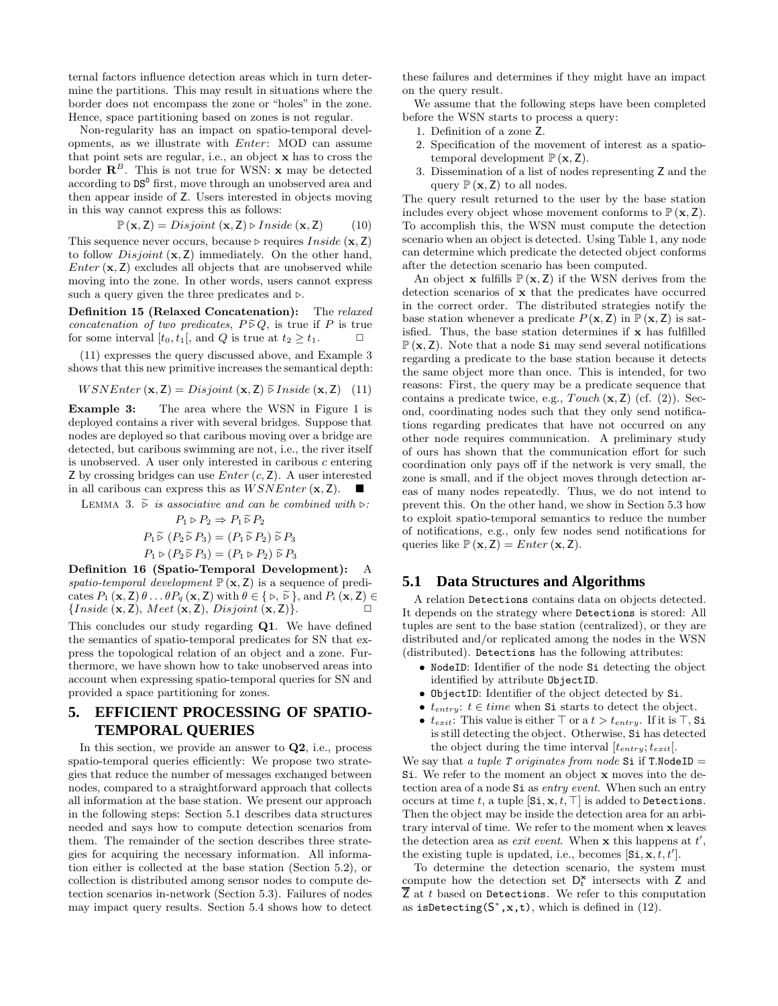ternal factors influence detection areas which in turn determine the partitions. This may result in situations where the border does not encompass the zone or "holes" in the zone. Hence, space partitioning based on zones is not regular.

Non-regularity has an impact on spatio-temporal developments, as we illustrate with Enter: MOD can assume that point sets are regular, i.e., an object x has to cross the border  $\mathbb{R}^B$ . This is not true for WSN: **x** may be detected according to  $DS^0$  first, move through an unobserved area and then appear inside of Z. Users interested in objects moving in this way cannot express this as follows:

$$
\mathbb{P}(\mathbf{x}, \mathbf{Z}) = Disjoint(\mathbf{x}, \mathbf{Z}) \triangleright Inside(\mathbf{x}, \mathbf{Z}) \tag{10}
$$

This sequence never occurs, because ⊳ requires  $Inside (x, Z)$ to follow  $Disjoint (\mathbf{x}, \mathbf{Z})$  immediately. On the other hand,  $Enter (x, Z)$  excludes all objects that are unobserved while moving into the zone. In other words, users cannot express such a query given the three predicates and  $\triangleright$ .

Definition 15 (Relaxed Concatenation): The *relaxed concatenation of two predicates,*  $P \tilde{\triangleright} Q$ , is true if P is true for some interval  $[t_0, t_1]$ , and Q is true at  $t_2 \geq t_1$ .

(11) expresses the query discussed above, and Example 3 shows that this new primitive increases the semantical depth:

$$
WSNEnter\left(\mathbf{x}, \mathbf{Z}\right) = Disjoint\left(\mathbf{x}, \mathbf{Z}\right) \widetilde{\triangleright} Inside\left(\mathbf{x}, \mathbf{Z}\right) \tag{11}
$$

**Example 3:** The area where the WSN in Figure 1 is deployed contains a river with several bridges. Suppose that nodes are deployed so that caribous moving over a bridge are detected, but caribous swimming are not, i.e., the river itself is unobserved. A user only interested in caribous  $c$  entering Z by crossing bridges can use  $Enter (c, Z)$ . A user interested in all caribous can express this as  $WSNEnter (\mathbf{x}, \mathbf{Z})$ .

LEMMA 3.  $\tilde{\triangleright}$  *is associative and can be combined with*  $\triangleright$ *:* 

$$
P_1 \triangleright P_2 \Rightarrow P_1 \widetilde{\triangleright} P_2
$$

$$
P_1 \widetilde{\triangleright} (P_2 \widetilde{\triangleright} P_3) = (P_1 \widetilde{\triangleright} P_2) \widetilde{\triangleright} P_3
$$

$$
P_1 \triangleright (P_2 \widetilde{\triangleright} P_3) = (P_1 \triangleright P_2) \widetilde{\triangleright} P_3
$$

 $P_1 \triangleright (P_2 \widetilde{\triangleright} P_3) = (P_1 \triangleright P_2) \widetilde{\triangleright} P_3$ <br>Definition 16 (Spatio-Temporal Development): A *spatio-temporal development*  $\mathbb{P}(\mathbf{x}, \mathbf{Z})$  is a sequence of predicates  $P_1$  (**x**, **Z**)  $\theta$ ...  $\theta P_q$  (**x**, **Z**) with  $\theta \in \{\infty, \widetilde{\Theta}\}\)$ , and  $P_i$  (**x**, **Z**)  $\in$  {*Inside* (**x Z**) *Neet* (**x Z**) *Disjoint* (**x Z**)}  ${Inside (\mathbf{x}, \mathbf{Z}), \, Meet (\mathbf{x}, \mathbf{Z}), \,Disjoint (\mathbf{x}, \mathbf{Z})}.$ 

This concludes our study regarding Q1. We have defined the semantics of spatio-temporal predicates for SN that express the topological relation of an object and a zone. Furthermore, we have shown how to take unobserved areas into account when expressing spatio-temporal queries for SN and provided a space partitioning for zones.

# **5. EFFICIENT PROCESSING OF SPATIO-TEMPORAL QUERIES**

In this section, we provide an answer to Q2, i.e., process spatio-temporal queries efficiently: We propose two strategies that reduce the number of messages exchanged between nodes, compared to a straightforward approach that collects all information at the base station. We present our approach in the following steps: Section 5.1 describes data structures needed and says how to compute detection scenarios from them. The remainder of the section describes three strategies for acquiring the necessary information. All information either is collected at the base station (Section 5.2), or collection is distributed among sensor nodes to compute detection scenarios in-network (Section 5.3). Failures of nodes may impact query results. Section 5.4 shows how to detect

these failures and determines if they might have an impact on the query result.

We assume that the following steps have been completed before the WSN starts to process a query:

- 1. Definition of a zone Z.
- 2. Specification of the movement of interest as a spatiotemporal development  $\mathbb{P}(\mathbf{x}, \mathbf{Z})$ .
- 3. Dissemination of a list of nodes representing Z and the query  $\mathbb{P}(\mathbf{x}, \mathbf{Z})$  to all nodes.

The query result returned to the user by the base station includes every object whose movement conforms to  $\mathbb{P}(\mathbf{x}, \mathbf{Z})$ . To accomplish this, the WSN must compute the detection scenario when an object is detected. Using Table 1, any node can determine which predicate the detected object conforms after the detection scenario has been computed.

An object **x** fulfills  $\mathbb{P}(\mathbf{x}, \mathbf{Z})$  if the WSN derives from the detection scenarios of x that the predicates have occurred in the correct order. The distributed strategies notify the base station whenever a predicate  $P(\mathbf{x}, \mathbf{Z})$  in  $\mathbb{P}(\mathbf{x}, \mathbf{Z})$  is satisfied. Thus, the base station determines if x has fulfilled  $\mathbb{P}(\mathbf{x}, \mathbf{Z})$ . Note that a node Si may send several notifications regarding a predicate to the base station because it detects the same object more than once. This is intended, for two reasons: First, the query may be a predicate sequence that contains a predicate twice, e.g.,  $Touch (\mathbf{x}, \mathbf{Z})$  (cf. (2)). Second, coordinating nodes such that they only send notifications regarding predicates that have not occurred on any other node requires communication. A preliminary study of ours has shown that the communication effort for such coordination only pays off if the network is very small, the zone is small, and if the object moves through detection areas of many nodes repeatedly. Thus, we do not intend to prevent this. On the other hand, we show in Section 5.3 how to exploit spatio-temporal semantics to reduce the number of notifications, e.g., only few nodes send notifications for queries like  $\mathbb{P}(\mathbf{x}, \mathbf{Z}) = Enter(\mathbf{x}, \mathbf{Z}).$ 

### **5.1 Data Structures and Algorithms**

A relation Detections contains data on objects detected. It depends on the strategy where Detections is stored: All tuples are sent to the base station (centralized), or they are distributed and/or replicated among the nodes in the WSN (distributed). Detections has the following attributes:

- NodeID: Identifier of the node Si detecting the object identified by attribute ObjectID.
- ObjectID: Identifier of the object detected by Si.
- $t_{entry}$ :  $t \in time$  when Si starts to detect the object.
- $t_{exit}$ : This value is either  $\top$  or a  $t > t_{entry}$ . If it is  $\top$ , Si is still detecting the object. Otherwise, Si has detected the object during the time interval  $[t_{entry}; t_{exit}].$

We say that *a tuple T originates from node* Si if **T**.NodeID = Si. We refer to the moment an object x moves into the detection area of a node Si as *entry event*. When such an entry occurs at time t, a tuple  $[\text{Si}, \textbf{x}, t, \top]$  is added to Detections. Then the object may be inside the detection area for an arbitrary interval of time. We refer to the moment when x leaves the detection area as *exit event*. When  $x$  this happens at  $t'$ , the existing tuple is updated, i.e., becomes  $[\text{Si}, \text{x}, t, t']$ .

To determine the detection scenario, the system must compute how the detection set  $D_t^{\mathbf{x}}$  intersects with Z and  $\overline{Z}$  at t based on Detections. We refer to this computation as isDetecting( $S^*$ , x, t), which is defined in (12).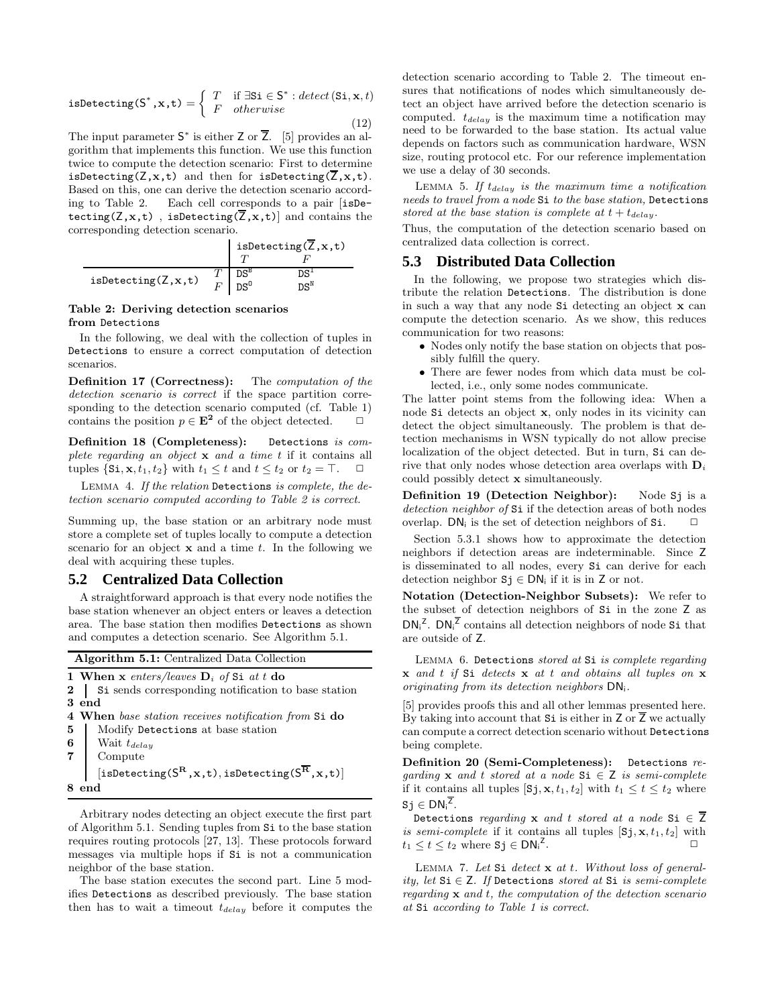isDetecting(S<sup>\*</sup>,x,t) =  $\begin{cases} T & \text{if } \exists \texttt{Si} \in \texttt{S}^* : \text{detect}(\texttt{Si}, \textbf{x}, t) \\ F & \text{otherwise} \end{cases}$ F otherwise  $(12)$ 

The input parameter  $S^*$  is either Z or  $\overline{Z}$ . [5] provides an algorithm that implements this function. We use this function twice to compute the detection scenario: First to determine isDetecting( $Z$ , $x$ , $t$ ) and then for isDetecting( $\overline{Z}$ , $x$ , $t$ ). Based on this, one can derive the detection scenario according to Table 2. Each cell corresponds to a pair [isDetecting( $Z, x, t$ ), isDetecting( $\overline{Z}, x, t$ )] and contains the corresponding detection scenario.

|                                   | isDetecting( $\overline{Z}, x, t$ ) |              |
|-----------------------------------|-------------------------------------|--------------|
|                                   |                                     |              |
|                                   | DS <sup>B</sup>                     | $DS^{\perp}$ |
| $is$ Detecting( $Z$ , $x$ , $t$ ) | $DS^0$                              | $DS^N$       |

#### Table 2: Deriving detection scenarios from Detections

In the following, we deal with the collection of tuples in Detections to ensure a correct computation of detection scenarios.

Definition 17 (Correctness): The *computation of the detection scenario is correct* if the space partition corresponding to the detection scenario computed (cf. Table 1) contains the position  $p \in \mathbf{E}^2$  of the object detected.  $\Box$ 

Definition 18 (Completeness): Detections *is complete regarding an object* x *and a time* t if it contains all tuples  $\{Si, x, t_1, t_2\}$  with  $t_1 \leq t$  and  $t \leq t_2$  or  $t_2 = \top$ .

Lemma 4. *If the relation* Detections *is complete, the detection scenario computed according to Table 2 is correct.*

Summing up, the base station or an arbitrary node must store a complete set of tuples locally to compute a detection scenario for an object  $x$  and a time  $t$ . In the following we deal with acquiring these tuples.

### **5.2 Centralized Data Collection**

A straightforward approach is that every node notifies the base station whenever an object enters or leaves a detection area. The base station then modifies Detections as shown and computes a detection scenario. See Algorithm 5.1.

Algorithm 5.1: Centralized Data Collection

```
1 When x enters/leaves Di of Si at t do
```

```
2 Si sends corresponding notification to base station
3 end
```

```
4 When base station receives notification from Si do
```

```
5 | Modify Detections at base station
```

```
6 Wait t_{delay}
```
7 Compute

 $[\mathtt{isDetermin}(S^\mathbf{R}, \mathbf{x}, \mathbf{t}), \mathtt{isDetermin}(S^\mathbf{\overline{R}}, \mathbf{x}, \mathbf{t})]$ 8 end

Arbitrary nodes detecting an object execute the first part of Algorithm 5.1. Sending tuples from Si to the base station requires routing protocols [27, 13]. These protocols forward messages via multiple hops if Si is not a communication neighbor of the base station.

The base station executes the second part. Line 5 modifies Detections as described previously. The base station then has to wait a timeout  $t_{delay}$  before it computes the detection scenario according to Table 2. The timeout ensures that notifications of nodes which simultaneously detect an object have arrived before the detection scenario is computed.  $t_{delay}$  is the maximum time a notification may need to be forwarded to the base station. Its actual value depends on factors such as communication hardware, WSN size, routing protocol etc. For our reference implementation we use a delay of 30 seconds.

LEMMA 5. If  $t_{delay}$  is the maximum time a notification *needs to travel from a node* Si *to the base station,* Detections *stored at the base station is complete at*  $t + t_{delay}$ .

Thus, the computation of the detection scenario based on centralized data collection is correct.

# **5.3 Distributed Data Collection**

In the following, we propose two strategies which distribute the relation Detections. The distribution is done in such a way that any node Si detecting an object x can compute the detection scenario. As we show, this reduces communication for two reasons:

- Nodes only notify the base station on objects that possibly fulfill the query.
- There are fewer nodes from which data must be collected, i.e., only some nodes communicate.

The latter point stems from the following idea: When a node Si detects an object x, only nodes in its vicinity can detect the object simultaneously. The problem is that detection mechanisms in WSN typically do not allow precise localization of the object detected. But in turn, Si can derive that only nodes whose detection area overlaps with  $D_i$ could possibly detect x simultaneously.

Definition 19 (Detection Neighbor): Node Sj is a *detection neighbor of* Si if the detection areas of both nodes overlap. DN<sub>i</sub> is the set of detection neighbors of Si.  $\Box$ 

Section 5.3.1 shows how to approximate the detection neighbors if detection areas are indeterminable. Since Z is disseminated to all nodes, every Si can derive for each detection neighbor  $S_j \in DN_i$  if it is in Z or not.

Notation (Detection-Neighbor Subsets): We refer to the subset of detection neighbors of Si in the zone Z as  $DN_i^Z$ .  $DN_i^{\overline{Z}}$  contains all detection neighbors of node Si that are outside of Z.

Lemma 6. Detections *stored at* Si *is complete regarding* x *and* t *if* Si *detects* x *at* t *and obtains all tuples on* x *originating from its detection neighbors* DNi*.*

[5] provides proofs this and all other lemmas presented here. By taking into account that  $Si$  is either in  $Z$  or  $\overline{Z}$  we actually can compute a correct detection scenario without Detections being complete.

Definition 20 (Semi-Completeness): Detections *regarding* x *and* t *stored at a node* Si ∈ Z *is semi-complete* if it contains all tuples [Sj, x, t<sub>1</sub>, t<sub>2</sub>] with  $t_1 \le t \le t_2$  where  $s_j \in \textsf{DN}_i^{\overline{\textsf{Z}}}.$ 

Detections *regarding* x *and* t *stored at a node* Si  $\in \overline{Z}$ *is semi-complete* if it contains all tuples  $[Sj, x, t_1, t_2]$  with  $t_1 \leq t \leq t_2$  where  $S_j \in DN_i^2$ . ✷

Lemma 7. *Let* Si *detect* x *at* t*. Without loss of generality, let* Si ∈ Z*. If* Detections *stored at* Si *is semi-complete regarding* x *and* t*, the computation of the detection scenario at* Si *according to Table 1 is correct.*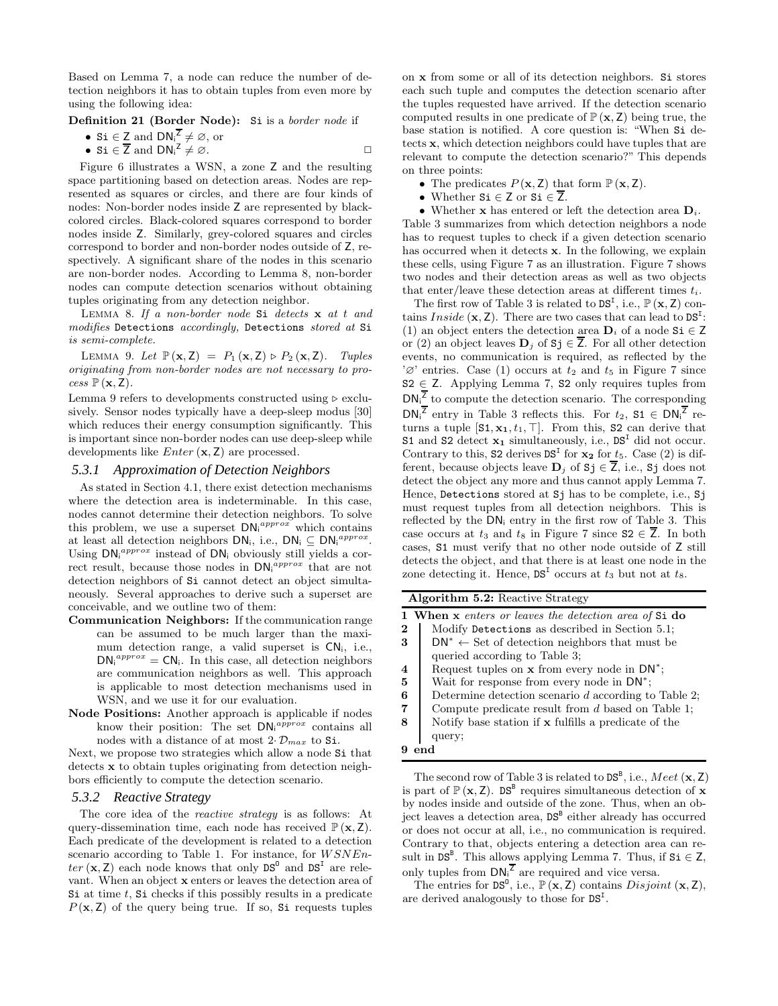Based on Lemma 7, a node can reduce the number of detection neighbors it has to obtain tuples from even more by using the following idea:

Definition 21 (Border Node): Si is a *border node* if

- Si  $\in$  Z and  $DN_i^{\overline{Z}} \neq \emptyset$ , or
- Si  $\in \overline{Z}$  and  $DN_i^{\mathsf{Z}} \neq \emptyset$ .

Figure 6 illustrates a WSN, a zone Z and the resulting space partitioning based on detection areas. Nodes are represented as squares or circles, and there are four kinds of nodes: Non-border nodes inside Z are represented by blackcolored circles. Black-colored squares correspond to border nodes inside Z. Similarly, grey-colored squares and circles correspond to border and non-border nodes outside of Z, respectively. A significant share of the nodes in this scenario are non-border nodes. According to Lemma 8, non-border nodes can compute detection scenarios without obtaining tuples originating from any detection neighbor.

Lemma 8. *If a non-border node* Si *detects* x *at* t *and modifies* Detections *accordingly,* Detections *stored at* Si *is semi-complete.*

LEMMA 9. *Let*  $\mathbb{P}(\mathbf{x}, \mathbf{Z}) = P_1(\mathbf{x}, \mathbf{Z}) \triangleright P_2(\mathbf{x}, \mathbf{Z})$ *. Tuples originating from non-border nodes are not necessary to pro* $cess \mathbb{P}(\mathbf{x}, \mathbf{Z}).$ 

Lemma 9 refers to developments constructed using  $\triangleright$  exclusively. Sensor nodes typically have a deep-sleep modus [30] which reduces their energy consumption significantly. This is important since non-border nodes can use deep-sleep while developments like  $Enter (x, Z)$  are processed.

#### *5.3.1 Approximation of Detection Neighbors*

As stated in Section 4.1, there exist detection mechanisms where the detection area is indeterminable. In this case, nodes cannot determine their detection neighbors. To solve this problem, we use a superset  $DN_i^{approx}$  which contains at least all detection neighbors  $DN_i$ , i.e.,  $DN_i \subseteq DN_i^{approx}$ . Using  $DN_i^{approx}$  instead of  $DN_i$  obviously still yields a correct result, because those nodes in  $DN_i^{approx}$  that are not detection neighbors of Si cannot detect an object simultaneously. Several approaches to derive such a superset are conceivable, and we outline two of them:

- Communication Neighbors: If the communication range can be assumed to be much larger than the maximum detection range, a valid superset is  $CN_i$ , i.e.,  $DN_i^{approx} = CN_i$ . In this case, all detection neighbors are communication neighbors as well. This approach is applicable to most detection mechanisms used in WSN, and we use it for our evaluation.
- Node Positions: Another approach is applicable if nodes know their position: The set  $DN_i^{approx}$  contains all nodes with a distance of at most  $2 \cdot \mathcal{D}_{max}$  to Si.

Next, we propose two strategies which allow a node Si that detects x to obtain tuples originating from detection neighbors efficiently to compute the detection scenario.

### *5.3.2 Reactive Strategy*

The core idea of the *reactive strategy* is as follows: At query-dissemination time, each node has received  $\mathbb{P}(\mathbf{x}, \mathbf{Z})$ . Each predicate of the development is related to a detection scenario according to Table 1. For instance, for  $WSNEn$  $ter (\mathbf{x}, \mathbf{Z})$  each node knows that only  $DS^0$  and  $DS^I$  are relevant. When an object x enters or leaves the detection area of Si at time  $t$ , Si checks if this possibly results in a predicate  $P(x, Z)$  of the query being true. If so, Si requests tuples

on x from some or all of its detection neighbors. Si stores each such tuple and computes the detection scenario after the tuples requested have arrived. If the detection scenario computed results in one predicate of  $\mathbb{P}(\mathbf{x}, \mathbf{Z})$  being true, the base station is notified. A core question is: "When Si detects x, which detection neighbors could have tuples that are relevant to compute the detection scenario?" This depends on three points:

- The predicates  $P(\mathbf{x}, \mathbf{Z})$  that form  $\mathbb{P}(\mathbf{x}, \mathbf{Z})$ .
- Whether  $Si \in Z$  or  $Si \in Z$ .

• Whether **x** has entered or left the detection area  $D_i$ . Table 3 summarizes from which detection neighbors a node has to request tuples to check if a given detection scenario has occurred when it detects x. In the following, we explain these cells, using Figure 7 as an illustration. Figure 7 shows two nodes and their detection areas as well as two objects that enter/leave these detection areas at different times  $t_i$ .

The first row of Table 3 is related to  $DS<sup>I</sup>$ , i.e.,  $\mathbb{P}(\mathbf{x}, \mathbf{Z})$  contains *Inside*  $(x, Z)$ . There are two cases that can lead to  $DS<sup>T</sup>$ : (1) an object enters the detection area  $D_i$  of a node Si  $\in \mathbb{Z}$ or (2) an object leaves  $\mathbf{D}_j$  of  $\mathbf{S}$ j  $\in \mathbf{Z}$ . For all other detection events, no communication is required, as reflected by the ' $\varnothing$ ' entries. Case (1) occurs at  $t_2$  and  $t_5$  in Figure 7 since  $S2 \in Z$ . Applying Lemma 7, S2 only requires tuples from  $DN_i^{\overline{Z}}$  to compute the detection scenario. The corresponding  $DN_i^{\overline{Z}}$  entry in Table 3 reflects this. For  $t_2$ ,  $S1 \in DN_i^{\overline{Z}}$  returns a tuple  $[S1, x_1, t_1, \top]$ . From this, S2 can derive that S1 and S2 detect  $\mathbf{x}_1$  simultaneously, i.e.,  $DS<sup>T</sup>$  did not occur. Contrary to this,  $S2$  derives  $DS<sup>T</sup>$  for  $x<sub>2</sub>$  for  $t<sub>5</sub>$ . Case (2) is different, because objects leave  $D_j$  of  $S_j \in \overline{Z}$ , i.e.,  $S_j$  does not detect the object any more and thus cannot apply Lemma 7. Hence, Detections stored at Sj has to be complete, i.e., Sj must request tuples from all detection neighbors. This is reflected by the DN<sup>i</sup> entry in the first row of Table 3. This case occurs at  $t_3$  and  $t_8$  in Figure 7 since  $S2 \in \overline{Z}$ . In both cases, S1 must verify that no other node outside of Z still detects the object, and that there is at least one node in the zone detecting it. Hence,  $DS<sup>T</sup>$  occurs at  $t_3$  but not at  $t_8$ .

Algorithm 5.2: Reactive Strategy

|                  | 1 When x enters or leaves the detection area of Si do     |
|------------------|-----------------------------------------------------------|
| $\boldsymbol{2}$ | Modify Detections as described in Section 5.1;            |
| 3                | $DN^* \leftarrow$ Set of detection neighbors that must be |
|                  | queried according to Table 3;                             |
| 4                | Request tuples on $x$ from every node in $DN^*$ ;         |
| 5                | Wait for response from every node in $DN^*$ ;             |
| 6                | Determine detection scenario $d$ according to Table 2;    |
| $\overline{7}$   | Compute predicate result from $d$ based on Table 1;       |
| 8                | Notify base station if x fulfills a predicate of the      |
|                  | query;                                                    |
|                  |                                                           |

The second row of Table 3 is related to  $DS^B$ , i.e.,  $Meet (\mathbf{x}, \mathbf{Z})$ is part of  $\mathbb{P}(\mathbf{x}, \mathbf{Z})$ . DS<sup>B</sup> requires simultaneous detection of x by nodes inside and outside of the zone. Thus, when an object leaves a detection area,  $DS^B$  either already has occurred or does not occur at all, i.e., no communication is required. Contrary to that, objects entering a detection area can result in  $DS^B$ . This allows applying Lemma 7. Thus, if  $Si \in Z$ ,

only tuples from  $DN_i^{\overline{z}}$  are required and vice versa.<br>The entries for  $DS^0$ , i.e.,  $\mathbb{P}(\mathbf{x}, \mathbf{Z})$  contains *Disjoint*  $(\mathbf{x}, \mathbf{Z})$ , are derived analogously to those for  $DS<sup>T</sup>$ .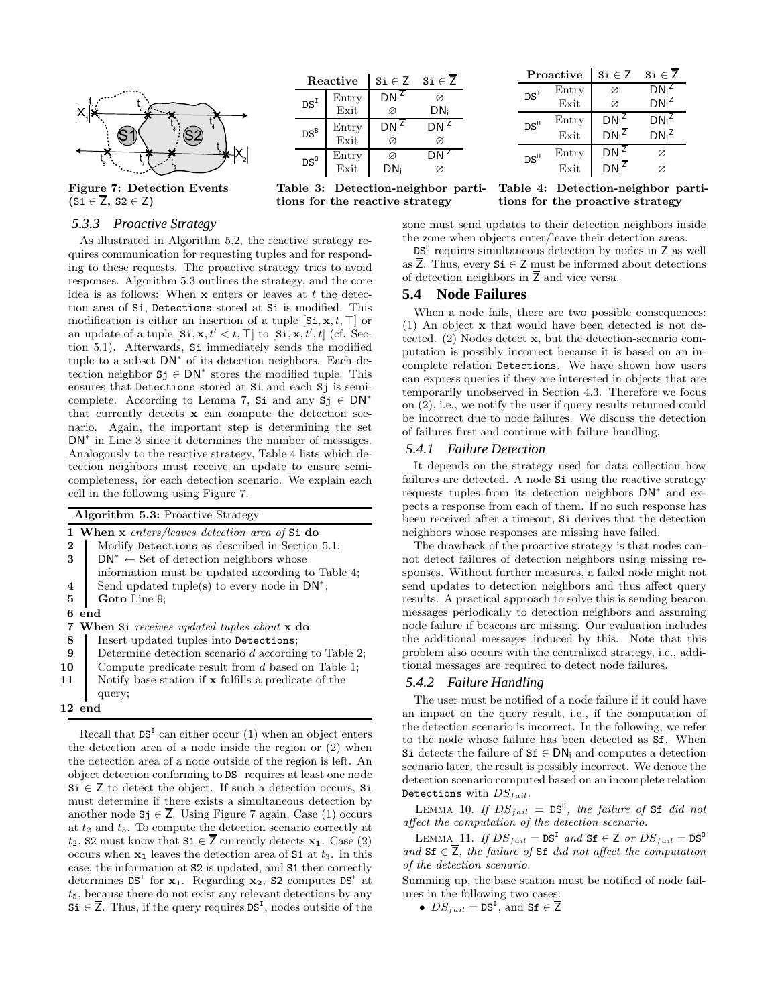

Figure 7: Detection Events  $(S1 \in \overline{Z}, S2 \in \overline{Z})$ 

#### Reactive  $\vert$  Si  $\in$  Z Si  $\in$   $\overline{Z}$  $DS<sup>I</sup>$  Entry DN<sub>i</sub>  $\overline{\otimes}$  $\varnothing$ Exit  $\Box$   $\varnothing$  DN  $DS^B$  Entry  $DN_i^2$ <br>Exit  $\varnothing$  $Z$  DN<sub>i</sub><sup>Z</sup> Exit ∅ ∅  $DS^0$  Entry  $\varnothing$  DN<sub>i</sub><br>Exit DN<sub>i</sub>  $\varnothing$ Z Exit

Table 3: Detection-neighbor partitions for the reactive strategy

Proactive  $\vert$  Si  $\in$  Z Si  $\in \overline{Z}$  $DS<sup>I</sup>$  Entry  $\varnothing$  DN<sub>i</sub> Z Exit  $\varnothing$  DN<sub>i</sub><sup>Z</sup>  $DS^B$  Entry DN<sub>i</sub><br>Exit DN<sub>i</sub>  $Z$  DN<sub>i</sub><sup>Z</sup>  $DN_i^{\mathsf{T}}$  $\overline{z}$  DN<sub>i</sub><sup>Z</sup>  $DS^0$  Entry DN<sub>i</sub><br>Exit DN<sub>i</sub>  $\varnothing$ Exit  $DN_i^{\overline{z}}$   $\varnothing$ 

Table 4: Detection-neighbor partitions for the proactive strategy

# *5.3.3 Proactive Strategy*

As illustrated in Algorithm 5.2, the reactive strategy requires communication for requesting tuples and for responding to these requests. The proactive strategy tries to avoid responses. Algorithm 5.3 outlines the strategy, and the core idea is as follows: When  $x$  enters or leaves at  $t$  the detection area of Si, Detections stored at Si is modified. This modification is either an insertion of a tuple  $[\text{Si}, \textbf{x}, t, \top]$  or an update of a tuple  $[\text{Si}, \textbf{x}, t' < t, \top]$  to  $[\text{Si}, \textbf{x}, t', t]$  (cf. Section 5.1). Afterwards, Si immediately sends the modified tuple to a subset  $DN^*$  of its detection neighbors. Each detection neighbor  $Sj \in DN^*$  stores the modified tuple. This ensures that Detections stored at Si and each Sj is semicomplete. According to Lemma 7, Si and any  $S_j \in DN^*$ that currently detects x can compute the detection scenario. Again, the important step is determining the set DN<sup>∗</sup> in Line 3 since it determines the number of messages. Analogously to the reactive strategy, Table 4 lists which detection neighbors must receive an update to ensure semicompleteness, for each detection scenario. We explain each cell in the following using Figure 7.

|          | <b>Algorithm 5.3: Proactive Strategy</b>                 |
|----------|----------------------------------------------------------|
|          | 1 When x enters/leaves detection area of Si do           |
| $\bf{2}$ | Modify Detections as described in Section 5.1;           |
| 3        | $DN^* \leftarrow$ Set of detection neighbors whose       |
|          | information must be updated according to Table 4;        |
| 4        | Send updated tuple(s) to every node in $DN^*$ ;          |
| 5        | Goto Line 9;                                             |
| 6        | end                                                      |
| 7        | <b>When Si</b> receives updated tuples about <b>x</b> do |
| 8        | Insert updated tuples into Detections;                   |
| 9        | Determine detection scenario $d$ according to Table 2;   |
| 10       | Compute predicate result from $d$ based on Table 1;      |
| 11       | Notify base station if x fulfills a predicate of the     |
|          | query;                                                   |
|          | $12 \,$ end                                              |

Recall that  $DS<sup>T</sup>$  can either occur (1) when an object enters the detection area of a node inside the region or (2) when the detection area of a node outside of the region is left. An object detection conforming to  $DS<sup>T</sup>$  requires at least one node  $Si \in Z$  to detect the object. If such a detection occurs, Si must determine if there exists a simultaneous detection by another node  $S_j \in Z$ . Using Figure 7 again, Case (1) occurs at  $t_2$  and  $t_5$ . To compute the detection scenario correctly at  $t_2$ , S2 must know that S1  $\in$  Z currently detects  $x_1$ . Case (2) occurs when  $x_1$  leaves the detection area of S1 at  $t_3$ . In this case, the information at S2 is updated, and S1 then correctly determines  $DS<sup>T</sup>$  for  $x_1$ . Regarding  $x_2$ , S2 computes  $DS<sup>T</sup>$  at  $t<sub>5</sub>$ , because there do not exist any relevant detections by any  $\overline{Si} \in \overline{Z}$ . Thus, if the query requires  $DS<sup>T</sup>$ , nodes outside of the

zone must send updates to their detection neighbors inside the zone when objects enter/leave their detection areas.

 $DS^B$  requires simultaneous detection by nodes in  $Z$  as well as  $\overline{Z}$ . Thus, every  $Si \in \mathbb{Z}$  must be informed about detections of detection neighbors in  $\overline{Z}$  and vice versa.

### **5.4 Node Failures**

When a node fails, there are two possible consequences: (1) An object x that would have been detected is not detected. (2) Nodes detect x, but the detection-scenario computation is possibly incorrect because it is based on an incomplete relation Detections. We have shown how users can express queries if they are interested in objects that are temporarily unobserved in Section 4.3. Therefore we focus on (2), i.e., we notify the user if query results returned could be incorrect due to node failures. We discuss the detection of failures first and continue with failure handling.

#### *5.4.1 Failure Detection*

It depends on the strategy used for data collection how failures are detected. A node Si using the reactive strategy requests tuples from its detection neighbors DN<sup>∗</sup> and expects a response from each of them. If no such response has been received after a timeout, Si derives that the detection neighbors whose responses are missing have failed.

The drawback of the proactive strategy is that nodes cannot detect failures of detection neighbors using missing responses. Without further measures, a failed node might not send updates to detection neighbors and thus affect query results. A practical approach to solve this is sending beacon messages periodically to detection neighbors and assuming node failure if beacons are missing. Our evaluation includes the additional messages induced by this. Note that this problem also occurs with the centralized strategy, i.e., additional messages are required to detect node failures.

### *5.4.2 Failure Handling*

The user must be notified of a node failure if it could have an impact on the query result, i.e., if the computation of the detection scenario is incorrect. In the following, we refer to the node whose failure has been detected as Sf. When Si detects the failure of  $Sf \in DN_i$  and computes a detection scenario later, the result is possibly incorrect. We denote the detection scenario computed based on an incomplete relation Detections with  $DS_{fail}$ .

LEMMA 10. If  $DS_{fail} = DS^{B}$ , the failure of Sf did not *affect the computation of the detection scenario.*

LEMMA 11. *If*  $DS_{fail} = DS^{I}$  and  $Sf \in Z$  or  $DS_{fail} = DS^{0}$ and  $Sf \in \overline{Z}$ , the failure of  $Sf$  *did not affect the computation of the detection scenario.*

Summing up, the base station must be notified of node failures in the following two cases:

•  $DS_{fail} = \text{DS}^{\text{I}}$ , and  $\text{Sf} \in \overline{\text{Z}}$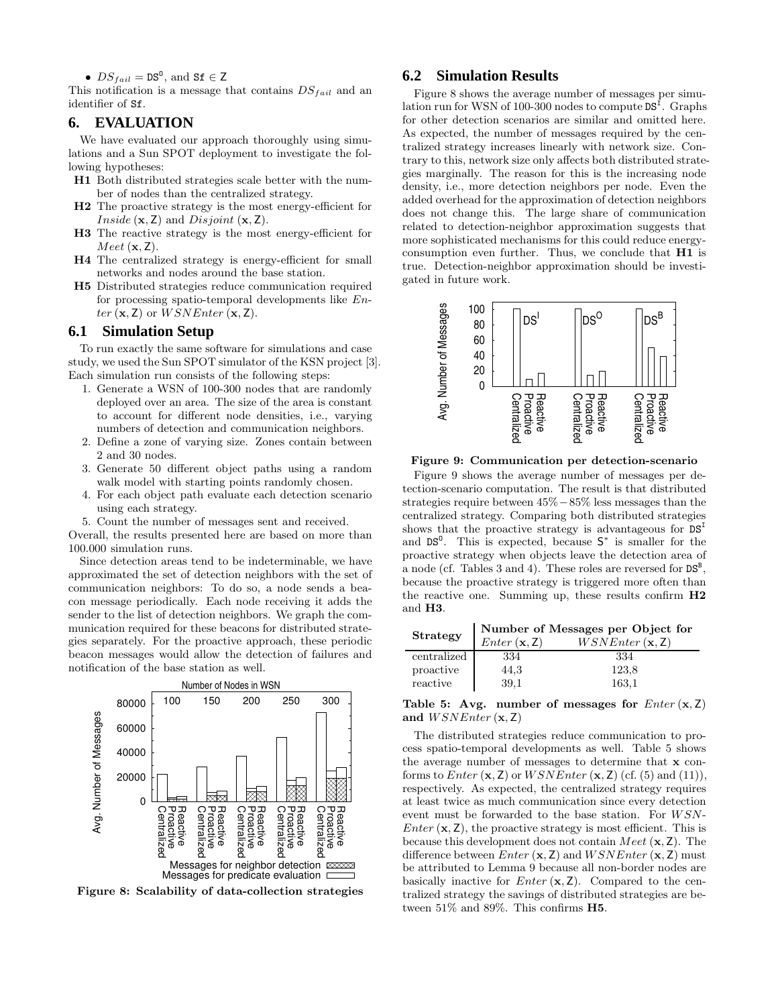•  $DS_{fail} = DS^{0}$ , and  $Sf \in Z$ 

This notification is a message that contains  $DS<sub>fail</sub>$  and an identifier of Sf.

### **6. EVALUATION**

We have evaluated our approach thoroughly using simulations and a Sun SPOT deployment to investigate the following hypotheses:

- H1 Both distributed strategies scale better with the number of nodes than the centralized strategy.
- H2 The proactive strategy is the most energy-efficient for *Inside*  $(x, Z)$  and *Disjoint*  $(x, Z)$ .
- H3 The reactive strategy is the most energy-efficient for  $Meet (\mathbf{x}, \mathbf{Z}).$
- H4 The centralized strategy is energy-efficient for small networks and nodes around the base station.
- H5 Distributed strategies reduce communication required for processing spatio-temporal developments like En $ter (\mathbf{x}, \mathbf{Z})$  or  $WSNEnter (\mathbf{x}, \mathbf{Z}).$

### **6.1 Simulation Setup**

To run exactly the same software for simulations and case study, we used the Sun SPOT simulator of the KSN project [3]. Each simulation run consists of the following steps:

- 1. Generate a WSN of 100-300 nodes that are randomly deployed over an area. The size of the area is constant to account for different node densities, i.e., varying numbers of detection and communication neighbors.
- 2. Define a zone of varying size. Zones contain between 2 and 30 nodes.
- 3. Generate 50 different object paths using a random walk model with starting points randomly chosen.
- 4. For each object path evaluate each detection scenario using each strategy.
- 5. Count the number of messages sent and received.

Overall, the results presented here are based on more than 100.000 simulation runs.

Since detection areas tend to be indeterminable, we have approximated the set of detection neighbors with the set of communication neighbors: To do so, a node sends a beacon message periodically. Each node receiving it adds the sender to the list of detection neighbors. We graph the communication required for these beacons for distributed strategies separately. For the proactive approach, these periodic beacon messages would allow the detection of failures and notification of the base station as well.



Figure 8: Scalability of data-collection strategies

### **6.2 Simulation Results**

Figure 8 shows the average number of messages per simulation run for WSN of 100-300 nodes to compute  $DS<sup>\tilde{I}</sup>$ . Graphs for other detection scenarios are similar and omitted here. As expected, the number of messages required by the centralized strategy increases linearly with network size. Contrary to this, network size only affects both distributed strategies marginally. The reason for this is the increasing node density, i.e., more detection neighbors per node. Even the added overhead for the approximation of detection neighbors does not change this. The large share of communication related to detection-neighbor approximation suggests that more sophisticated mechanisms for this could reduce energyconsumption even further. Thus, we conclude that H1 is true. Detection-neighbor approximation should be investigated in future work.



Figure 9: Communication per detection-scenario

Figure 9 shows the average number of messages per detection-scenario computation. The result is that distributed strategies require between 45%−85% less messages than the centralized strategy. Comparing both distributed strategies shows that the proactive strategy is advantageous for  $DS<sup>I</sup>$ and  $DS^0$ . This is expected, because  $S^*$  is smaller for the proactive strategy when objects leave the detection area of a node (cf. Tables 3 and 4). These roles are reversed for  $DS^B$ , because the proactive strategy is triggered more often than the reactive one. Summing up, these results confirm H2 and H3.

| Strategy    | Number of Messages per Object for<br>$WSNEnter(\mathbf{x}, \mathbf{Z})$<br>Enter(x, Z) |       |  |
|-------------|----------------------------------------------------------------------------------------|-------|--|
| centralized | 334                                                                                    | 334   |  |
| proactive   | 44,3                                                                                   | 123,8 |  |
| reactive    | 39.1                                                                                   | 163.1 |  |

### Table 5: Avg. number of messages for  $Enter(x, Z)$ and  $WSNEnter$  (x, Z)

The distributed strategies reduce communication to process spatio-temporal developments as well. Table 5 shows the average number of messages to determine that x conforms to  $Enter (x, Z)$  or  $WSNEnter (x, Z)$  (cf. (5) and (11)), respectively. As expected, the centralized strategy requires at least twice as much communication since every detection event must be forwarded to the base station. For  $WSN$ -*Enter*  $(x, Z)$ , the proactive strategy is most efficient. This is because this development does not contain *Meet*  $(x, Z)$ . The difference between  $Enter (\mathbf{x}, \mathbf{Z})$  and  $WSNEnter (\mathbf{x}, \mathbf{Z})$  must be attributed to Lemma 9 because all non-border nodes are basically inactive for  $Enter (x, Z)$ . Compared to the centralized strategy the savings of distributed strategies are between 51% and 89%. This confirms H5.